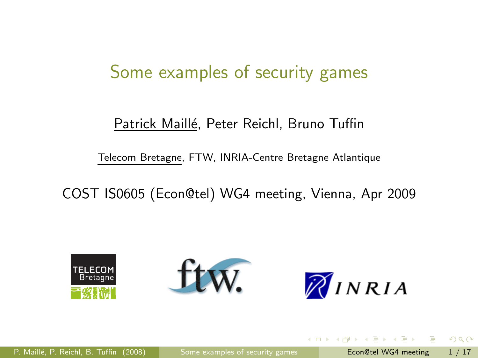#### Some examples of security games

#### Patrick Maillé, Peter Reichl, Bruno Tuffin

<span id="page-0-0"></span>Telecom Bretagne, FTW, INRIA-Centre Bretagne Atlantique

COST IS0605 (Econ@tel) WG4 meeting, Vienna, Apr 2009

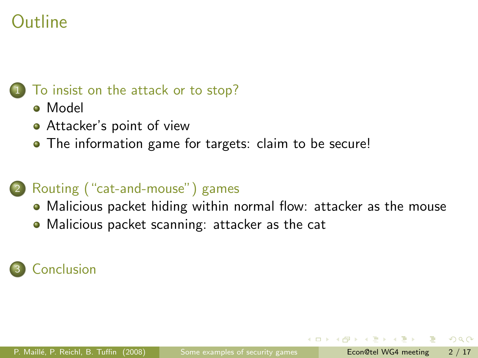#### [To insist on the attack or to stop?](#page-2-0)

- [Model](#page-3-0)
- [Attacker's point of view](#page-4-0)
- [The information game for targets: claim to be secure!](#page-9-0)

#### 2 [Routing \("cat-and-mouse"\) games](#page-11-0)

- [Malicious packet hiding within normal flow: attacker as the mouse](#page-13-0)
- [Malicious packet scanning: attacker as the cat](#page-15-0)

#### **[Conclusion](#page-16-0)**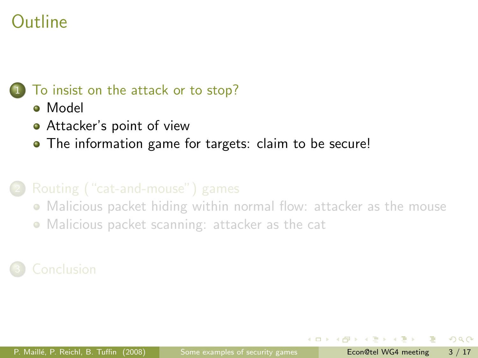#### [To insist on the attack or to stop?](#page-2-0)

- [Model](#page-3-0)
- [Attacker's point of view](#page-4-0)
- [The information game for targets: claim to be secure!](#page-9-0)

- [Malicious packet hiding within normal flow: attacker as the mouse](#page-13-0)
- <span id="page-2-0"></span>[Malicious packet scanning: attacker as the cat](#page-15-0)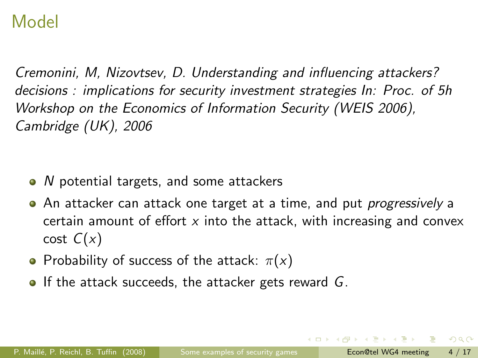### Model

Cremonini, M, Nizovtsev, D. Understanding and influencing attackers? decisions : implications for security investment strategies In: Proc. of 5h Workshop on the Economics of Information Security (WEIS 2006), Cambridge (UK), 2006

- $\bullet$  N potential targets, and some attackers
- An attacker can attack one target at a time, and put *progressively* a certain amount of effort  $x$  into the attack, with increasing and convex  $cost C(x)$
- Probability of success of the attack:  $\pi(x)$
- <span id="page-3-0"></span> $\bullet$  If the attack succeeds, the attacker gets reward G.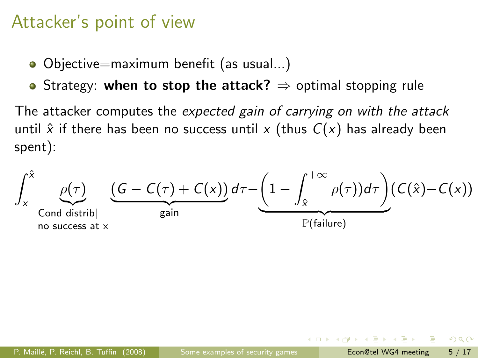### Attacker's point of view

- Objective=maximum benefit (as usual...)
- Strategy: when to stop the attack?  $\Rightarrow$  optimal stopping rule

The attacker computes the expected gain of carrying on with the attack until  $\hat{x}$  if there has been no success until x (thus  $C(x)$  has already been spent):

$$
\int_{x}^{\hat{x}} \underbrace{\rho(\tau)}_{\text{Cond distribl}} \underbrace{(G - C(\tau) + C(x))}_{\text{gain}} d\tau - \underbrace{(1 - \int_{\hat{x}}^{+\infty} \rho(\tau)) d\tau}_{\mathbb{P}(\text{failure})} (C(\hat{x}) - C(x))
$$

<span id="page-4-0"></span> $QQ$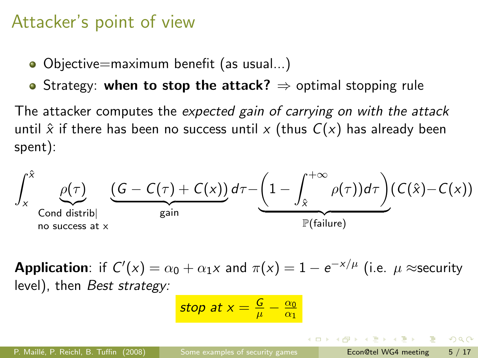#### Attacker's point of view

- Objective=maximum benefit (as usual...)
- Strategy: when to stop the attack?  $\Rightarrow$  optimal stopping rule

The attacker computes the expected gain of carrying on with the attack until  $\hat{x}$  if there has been no success until x (thus  $C(x)$  has already been spent):

$$
\int_{x}^{\hat{x}} \underbrace{\rho(\tau)}_{\text{Cond distrib}} \underbrace{(G - C(\tau) + C(x))}_{\text{gain}} d\tau - \underbrace{(1 - \int_{\hat{x}}^{+\infty} \rho(\tau)) d\tau}_{\mathbb{P}(\text{failure})} (C(\hat{x}) - C(x))
$$

**Application**: if  $C'(x) = \alpha_0 + \alpha_1 x$  and  $\pi(x) = 1 - e^{-x/\mu}$  (i.e.  $\mu \approx$ security level), then Best strategy:

$$
\text{stop at } x = \frac{G}{\mu} - \frac{\alpha_0}{\alpha_1}
$$

 $\Omega$ 

 $\mathcal{A} \cap \mathcal{B} \rightarrow \mathcal{A} \supseteq \mathcal{B} \rightarrow \mathcal{A} \supseteq \mathcal{B} \rightarrow \mathcal{B} \supseteq \mathcal{B}$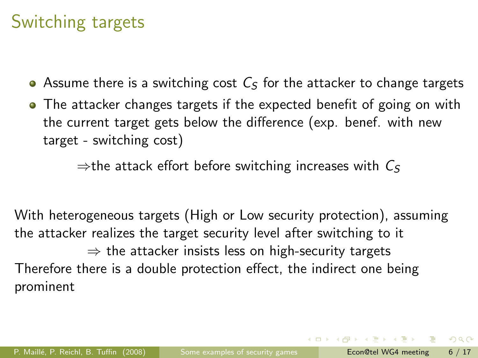## Switching targets

- Assume there is a switching cost  $C_5$  for the attacker to change targets
- The attacker changes targets if the expected benefit of going on with the current target gets below the difference (exp. benef. with new target - switching cost)

 $\Rightarrow$  the attack effort before switching increases with  $C_5$ 

With heterogeneous targets (High or Low security protection), assuming the attacker realizes the target security level after switching to it  $\Rightarrow$  the attacker insists less on high-security targets Therefore there is a double protection effect, the indirect one being prominent

 $QQ$ 

イロト イ押ト イヨト イヨト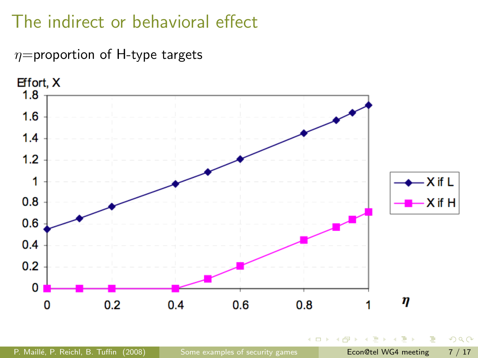# The indirect or behavioral effect

 $\eta$ =proportion of H-type targets



 $2990$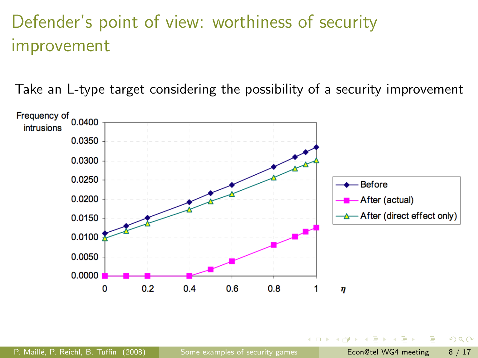# Defender's point of view: worthiness of security improvement

Take an L-type target considering the possibility of a security improvement

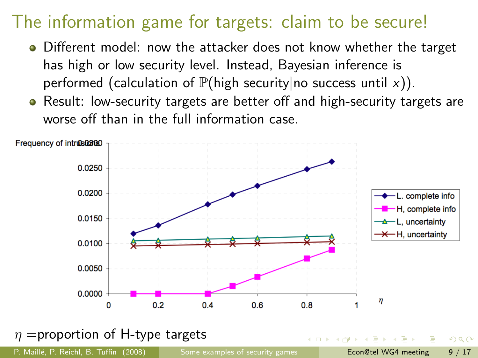## The information game for targets: claim to be secure!

- Different model: now the attacker does not know whether the target has high or low security level. Instead, Bayesian inference is performed (calculation of  $\mathbb{P}(\mathsf{high}\ \mathsf{security}|\mathsf{no}\ \mathsf{success}\ \mathsf{until}\ \mathsf{x})$ ).
- Result: low-security targets are better off and high-security targets are worse off than in the full information case.



<span id="page-9-0"></span>P. Maillé, P. Reichl, B. Tuffin (2008) [Some examples of security games](#page-0-0) Econ@tel WG4 meeting 9 / 17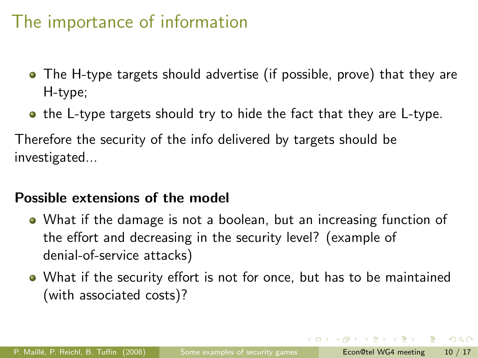### The importance of information

- The H-type targets should advertise (if possible, prove) that they are H-type;
- the L-type targets should try to hide the fact that they are L-type.

Therefore the security of the info delivered by targets should be investigated...

#### Possible extensions of the model

- What if the damage is not a boolean, but an increasing function of the effort and decreasing in the security level? (example of denial-of-service attacks)
- What if the security effort is not for once, but has to be maintained (with associated costs)?

 $\Omega$ 

イロメ イ何 メイヨメ イヨメーヨ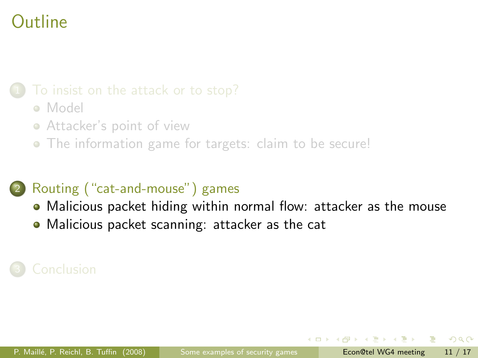- [Model](#page-3-0)
- [Attacker's point of view](#page-4-0)
- [The information game for targets: claim to be secure!](#page-9-0)

#### [Routing \("cat-and-mouse"\) games](#page-11-0)

- [Malicious packet hiding within normal flow: attacker as the mouse](#page-13-0)
- <span id="page-11-0"></span>[Malicious packet scanning: attacker as the cat](#page-15-0)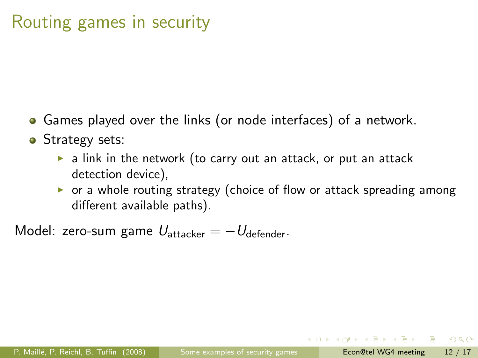## Routing games in security

- Games played over the links (or node interfaces) of a network.
- Strategy sets:
	- $\triangleright$  a link in the network (to carry out an attack, or put an attack detection device),
	- $\triangleright$  or a whole routing strategy (choice of flow or attack spreading among different available paths).

Model: zero-sum game  $U_{\text{attacker}} = -U_{\text{defender}}$ .

 $QQ$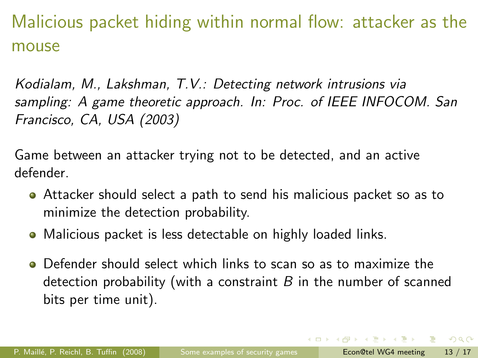Malicious packet hiding within normal flow: attacker as the mouse

Kodialam, M., Lakshman, T.V.: Detecting network intrusions via sampling: A game theoretic approach. In: Proc. of IEEE INFOCOM. San Francisco, CA, USA (2003)

Game between an attacker trying not to be detected, and an active defender.

- Attacker should select a path to send his malicious packet so as to minimize the detection probability.
- Malicious packet is less detectable on highly loaded links.
- Defender should select which links to scan so as to maximize the detection probability (with a constraint  $B$  in the number of scanned bits per time unit).

<span id="page-13-0"></span> $QQ$ 

イロメ イ何 メイヨメ イヨメーヨー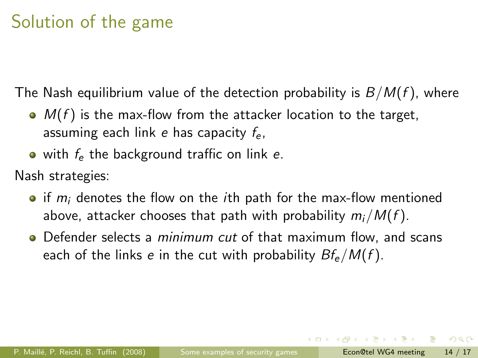# Solution of the game

The Nash equilibrium value of the detection probability is  $B/M(f)$ , where

- $\bullet$   $M(f)$  is the max-flow from the attacker location to the target, assuming each link e has capacity  $f_e$ ,
- $\bullet$  with  $f_e$  the background traffic on link e.

Nash strategies:

- $\bullet$  if  $m_i$  denotes the flow on the *i*th path for the max-flow mentioned above, attacker chooses that path with probability  $m_i/M(f)$ .
- Defender selects a *minimum cut* of that maximum flow, and scans each of the links e in the cut with probability  $Bf_e/M(f)$ .

 $\Omega$ 

- 4何 ト 4 ヨ ト 4 ヨ ト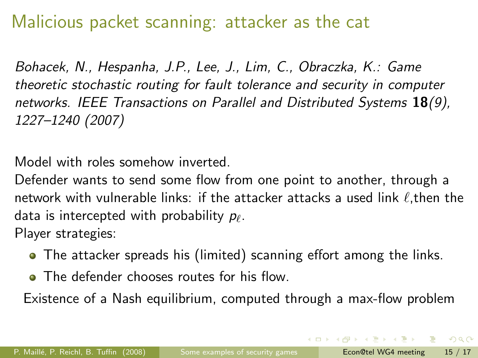### Malicious packet scanning: attacker as the cat

Bohacek, N., Hespanha, J.P., Lee, J., Lim, C., Obraczka, K.: Game theoretic stochastic routing for fault tolerance and security in computer networks. IEEE Transactions on Parallel and Distributed Systems  $18(9)$ , 1227–1240 (2007)

Model with roles somehow inverted.

Defender wants to send some flow from one point to another, through a network with vulnerable links: if the attacker attacks a used link  $\ell$ ,then the data is intercepted with probability  $p_\ell.$ Player strategies:

- The attacker spreads his (limited) scanning effort among the links.
- <span id="page-15-0"></span>• The defender chooses routes for his flow.

Existence of a Nash equilibrium, computed through a max-flow problem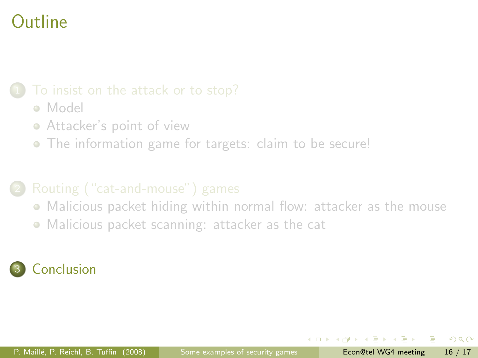- [Model](#page-3-0)
- [Attacker's point of view](#page-4-0)
- [The information game for targets: claim to be secure!](#page-9-0)

- [Malicious packet hiding within normal flow: attacker as the mouse](#page-13-0)
- <span id="page-16-0"></span>[Malicious packet scanning: attacker as the cat](#page-15-0)

### **[Conclusion](#page-16-0)**